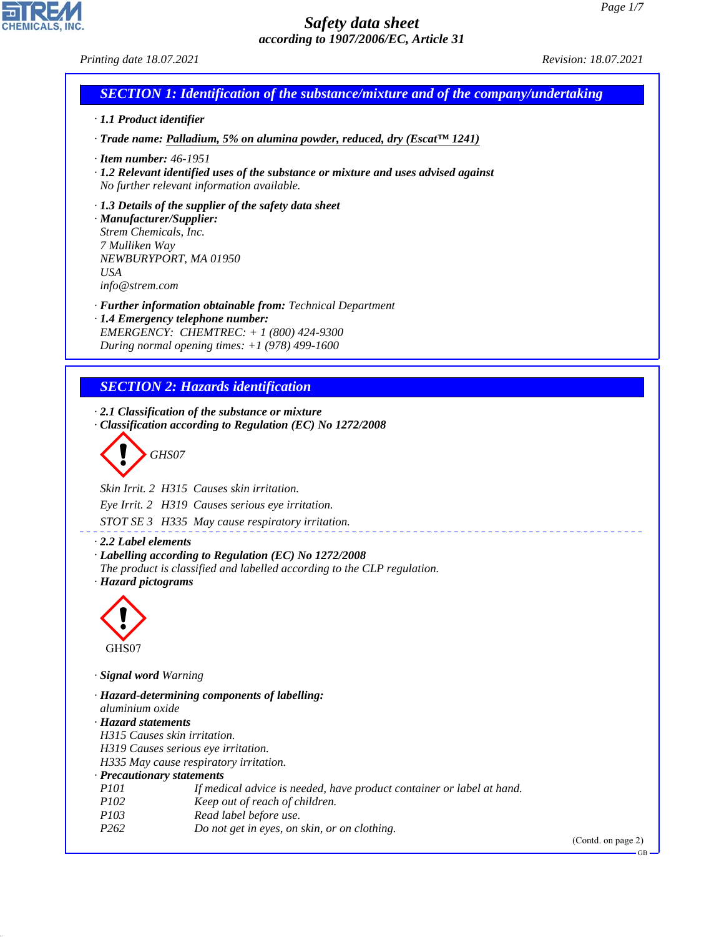#### *Printing date 18.07.2021 Revision: 18.07.2021*

# *SECTION 1: Identification of the substance/mixture and of the company/undertaking*

- *· 1.1 Product identifier*
- *· Trade name: Palladium, 5% on alumina powder, reduced, dry (Escat™ 1241)*
- *· Item number: 46-1951*
- *· 1.2 Relevant identified uses of the substance or mixture and uses advised against No further relevant information available.*
- *· 1.3 Details of the supplier of the safety data sheet*

*· Manufacturer/Supplier: Strem Chemicals, Inc. 7 Mulliken Way NEWBURYPORT, MA 01950 USA info@strem.com*

- *· Further information obtainable from: Technical Department*
- *· 1.4 Emergency telephone number: EMERGENCY: CHEMTREC: + 1 (800) 424-9300 During normal opening times: +1 (978) 499-1600*

# *SECTION 2: Hazards identification*

*· 2.1 Classification of the substance or mixture · Classification according to Regulation (EC) No 1272/2008*

$$
\left\langle \begin{array}{c}\n\end{array}\right\rangle
$$
 GHSO7

*Skin Irrit. 2 H315 Causes skin irritation.*

*Eye Irrit. 2 H319 Causes serious eye irritation.*

*STOT SE 3 H335 May cause respiratory irritation.*

*· 2.2 Label elements*

- *· Labelling according to Regulation (EC) No 1272/2008*
- *The product is classified and labelled according to the CLP regulation.*
- *· Hazard pictograms*



44.1.1

*· Signal word Warning*

*· Hazard-determining components of labelling: aluminium oxide · Hazard statements H315 Causes skin irritation. H319 Causes serious eye irritation. H335 May cause respiratory irritation. · Precautionary statements P101 If medical advice is needed, have product container or label at hand. P102 Keep out of reach of children. P103 Read label before use. P262 Do not get in eyes, on skin, or on clothing.*

(Contd. on page 2)

GB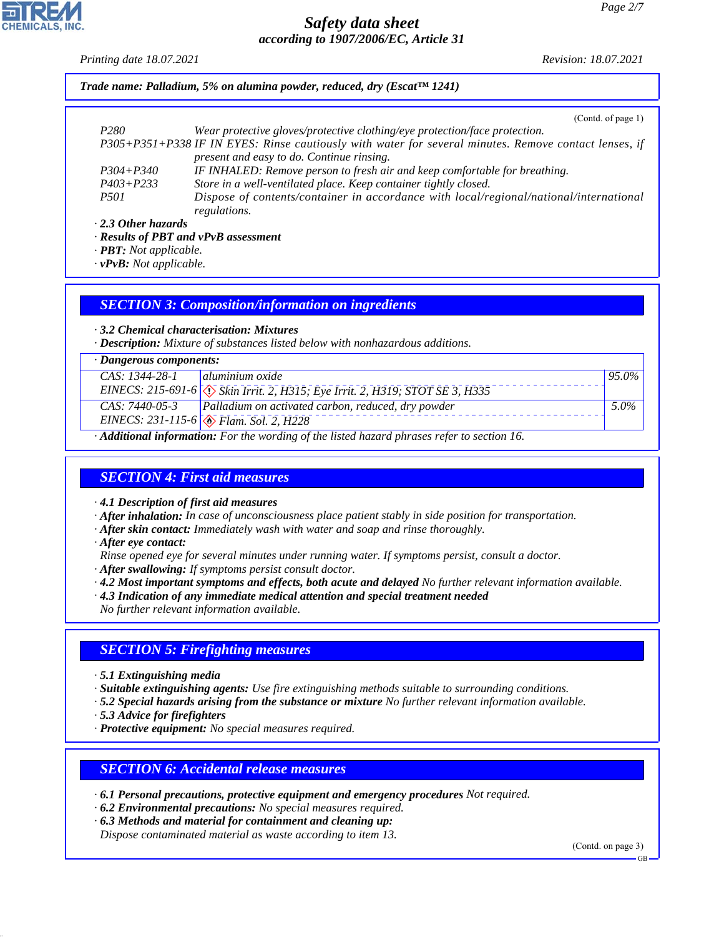*Printing date 18.07.2021 Revision: 18.07.2021*

*Trade name: Palladium, 5% on alumina powder, reduced, dry (Escat™ 1241)*

(Contd. of page 1)

| P <sub>280</sub>                                                                                      | Wear protective gloves/protective clothing/eye protection/face protection.             |  |  |  |
|-------------------------------------------------------------------------------------------------------|----------------------------------------------------------------------------------------|--|--|--|
| P305+P351+P338 IF IN EYES: Rinse cautiously with water for several minutes. Remove contact lenses, if |                                                                                        |  |  |  |
|                                                                                                       | present and easy to do. Continue rinsing.                                              |  |  |  |
| $P304 + P340$                                                                                         | IF INHALED: Remove person to fresh air and keep comfortable for breathing.             |  |  |  |
| $P403 + P233$                                                                                         | Store in a well-ventilated place. Keep container tightly closed.                       |  |  |  |
| <i>P501</i>                                                                                           | Dispose of contents/container in accordance with local/regional/national/international |  |  |  |
|                                                                                                       | regulations.                                                                           |  |  |  |
| $2.2$ Other hospitals                                                                                 |                                                                                        |  |  |  |

*· 2.3 Other hazards*

*· Results of PBT and vPvB assessment*

*· PBT: Not applicable.*

*· vPvB: Not applicable.*

#### *SECTION 3: Composition/information on ingredients*

*· 3.2 Chemical characterisation: Mixtures*

*· Description: Mixture of substances listed below with nonhazardous additions.*

| $\cdot$ Dangerous components:                                                            |                                                                                       |          |  |  |
|------------------------------------------------------------------------------------------|---------------------------------------------------------------------------------------|----------|--|--|
| $CAS: 1344-28-1$   aluminium oxide                                                       |                                                                                       | $95.0\%$ |  |  |
|                                                                                          | EINECS: 215-691-6 $\Diamond$ Skin Irrit. 2, H315; Eye Irrit. 2, H319; STOT SE 3, H335 |          |  |  |
| CAS: 7440-05-3                                                                           | Palladium on activated carbon, reduced, dry powder                                    | $5.0\%$  |  |  |
|                                                                                          | EINECS: 231-115-6 $\otimes$ Flam. Sol. 2, H228                                        |          |  |  |
| A Different information. Fourthe would a chile listed becaud players ushar to section 16 |                                                                                       |          |  |  |

*· Additional information: For the wording of the listed hazard phrases refer to section 16.*

## *SECTION 4: First aid measures*

*· 4.1 Description of first aid measures*

*· After inhalation: In case of unconsciousness place patient stably in side position for transportation.*

- *· After skin contact: Immediately wash with water and soap and rinse thoroughly.*
- *· After eye contact:*
- *Rinse opened eye for several minutes under running water. If symptoms persist, consult a doctor.*
- *· After swallowing: If symptoms persist consult doctor.*
- *· 4.2 Most important symptoms and effects, both acute and delayed No further relevant information available.*
- *· 4.3 Indication of any immediate medical attention and special treatment needed*

*No further relevant information available.*

# *SECTION 5: Firefighting measures*

*· 5.1 Extinguishing media*

*· Suitable extinguishing agents: Use fire extinguishing methods suitable to surrounding conditions.*

*· 5.2 Special hazards arising from the substance or mixture No further relevant information available.*

*· 5.3 Advice for firefighters*

44.1.1

*· Protective equipment: No special measures required.*

## *SECTION 6: Accidental release measures*

*· 6.1 Personal precautions, protective equipment and emergency procedures Not required.*

- *· 6.2 Environmental precautions: No special measures required.*
- *· 6.3 Methods and material for containment and cleaning up:*

*Dispose contaminated material as waste according to item 13.*

(Contd. on page 3)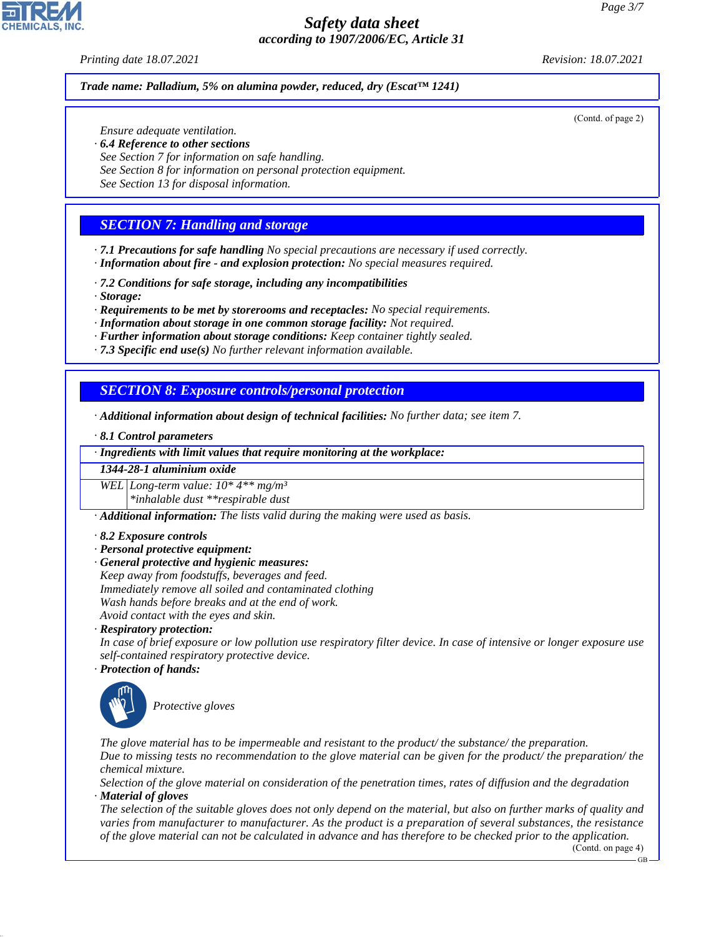#### *Printing date 18.07.2021 Revision: 18.07.2021*

(Contd. of page 2)

#### *Trade name: Palladium, 5% on alumina powder, reduced, dry (Escat™ 1241)*

*Ensure adequate ventilation.*

- *· 6.4 Reference to other sections*
- *See Section 7 for information on safe handling.*
- *See Section 8 for information on personal protection equipment.*
- *See Section 13 for disposal information.*

#### *SECTION 7: Handling and storage*

*· 7.1 Precautions for safe handling No special precautions are necessary if used correctly. · Information about fire - and explosion protection: No special measures required.*

- *· 7.2 Conditions for safe storage, including any incompatibilities*
- *· Storage:*

*· Requirements to be met by storerooms and receptacles: No special requirements.*

- *· Information about storage in one common storage facility: Not required.*
- *· Further information about storage conditions: Keep container tightly sealed.*
- *· 7.3 Specific end use(s) No further relevant information available.*

#### *SECTION 8: Exposure controls/personal protection*

- *· Additional information about design of technical facilities: No further data; see item 7.*
- *· 8.1 Control parameters*

*· Ingredients with limit values that require monitoring at the workplace:*

*1344-28-1 aluminium oxide*

*WEL Long-term value: 10\* 4\*\* mg/m³ \*inhalable dust \*\*respirable dust*

*· Additional information: The lists valid during the making were used as basis.*

- *· 8.2 Exposure controls*
- *· Personal protective equipment:*
- *· General protective and hygienic measures:*

*Keep away from foodstuffs, beverages and feed. Immediately remove all soiled and contaminated clothing Wash hands before breaks and at the end of work. Avoid contact with the eyes and skin.*

*· Respiratory protection:*

*In case of brief exposure or low pollution use respiratory filter device. In case of intensive or longer exposure use self-contained respiratory protective device.*

*· Protection of hands:*



44.1.1

\_S*Protective gloves*

*The glove material has to be impermeable and resistant to the product/ the substance/ the preparation. Due to missing tests no recommendation to the glove material can be given for the product/ the preparation/ the chemical mixture.*

*Selection of the glove material on consideration of the penetration times, rates of diffusion and the degradation · Material of gloves*

*The selection of the suitable gloves does not only depend on the material, but also on further marks of quality and varies from manufacturer to manufacturer. As the product is a preparation of several substances, the resistance of the glove material can not be calculated in advance and has therefore to be checked prior to the application.*

(Contd. on page 4)

GB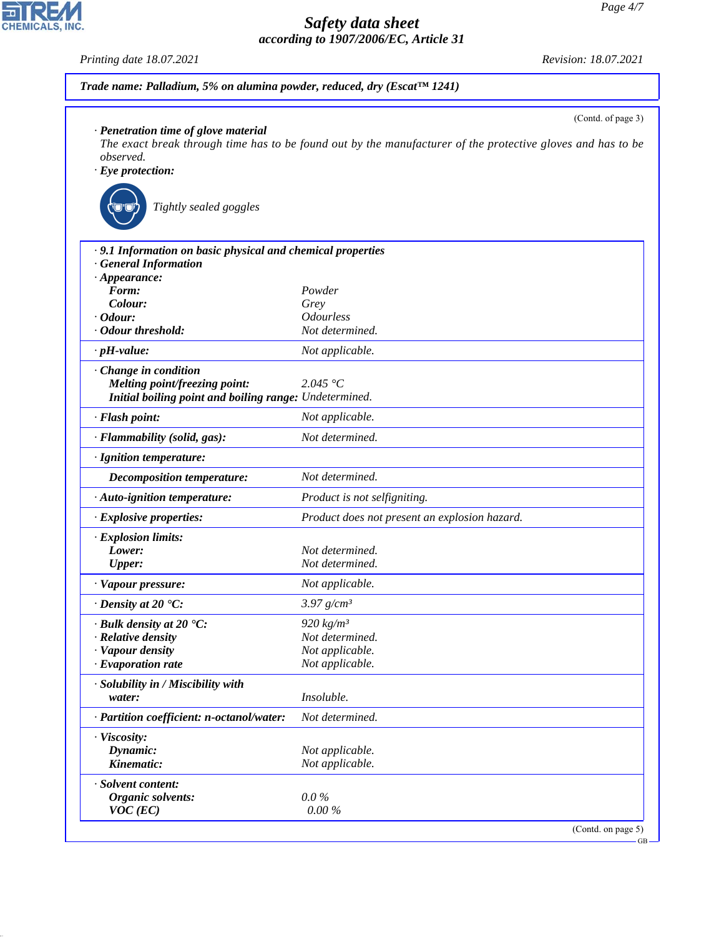GB

# *Safety data sheet according to 1907/2006/EC, Article 31*

*Printing date 18.07.2021 Revision: 18.07.2021 Trade name: Palladium, 5% on alumina powder, reduced, dry (Escat™ 1241)* (Contd. of page 3) *· Penetration time of glove material The exact break through time has to be found out by the manufacturer of the protective gloves and has to be observed. · Eye protection:* \_R*Tightly sealed goggles · 9.1 Information on basic physical and chemical properties · General Information · Appearance: Form: Powder Colour: Grey · Odour: Odourless · Odour threshold: Not determined. · pH-value: Not applicable. · Change in condition Melting point/freezing point: 2.045 °C Initial boiling point and boiling range: Undetermined. · Flash point: Not applicable. · Flammability (solid, gas): Not determined. · Ignition temperature: Decomposition temperature: Not determined. · Auto-ignition temperature: Product is not selfigniting. · Explosive properties: Product does not present an explosion hazard. · Explosion limits: Lower: Not determined. Upper: Not determined. · Vapour pressure: Not applicable. · Density at 20 °C: 3.97 g/cm³ Pulk density at 20* °C: 920 kg/m<sup>3</sup><br>*Relative density* Relative density  $R$  *Relative density · Vapour density Not applicable. · Evaporation rate Not applicable. · Solubility in / Miscibility with water: Insoluble. · Partition coefficient: n-octanol/water: Not determined. · Viscosity: Dynamic: Not applicable. Kinematic: Not applicable. · Solvent content: Organic solvents: 0.0 % VOC (EC) 0.00 %* (Contd. on page 5)



44.1.1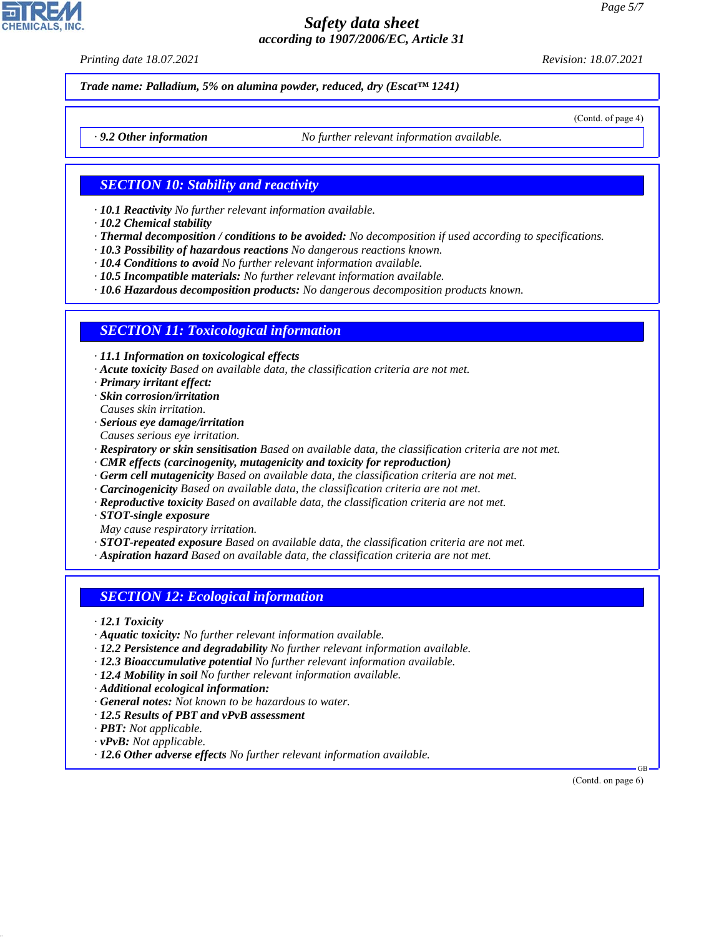*Printing date 18.07.2021 Revision: 18.07.2021*

*Trade name: Palladium, 5% on alumina powder, reduced, dry (Escat™ 1241)*

(Contd. of page 4)

*· 9.2 Other information No further relevant information available.*

#### *SECTION 10: Stability and reactivity*

- *· 10.1 Reactivity No further relevant information available.*
- *· 10.2 Chemical stability*
- *· Thermal decomposition / conditions to be avoided: No decomposition if used according to specifications.*
- *· 10.3 Possibility of hazardous reactions No dangerous reactions known.*
- *· 10.4 Conditions to avoid No further relevant information available.*
- *· 10.5 Incompatible materials: No further relevant information available.*

*· 10.6 Hazardous decomposition products: No dangerous decomposition products known.*

#### *SECTION 11: Toxicological information*

*· 11.1 Information on toxicological effects*

- *· Acute toxicity Based on available data, the classification criteria are not met.*
- *· Primary irritant effect:*
- *· Skin corrosion/irritation*
- *Causes skin irritation.*
- *· Serious eye damage/irritation Causes serious eye irritation.*
- *· Respiratory or skin sensitisation Based on available data, the classification criteria are not met.*
- *· CMR effects (carcinogenity, mutagenicity and toxicity for reproduction)*
- *· Germ cell mutagenicity Based on available data, the classification criteria are not met.*
- *· Carcinogenicity Based on available data, the classification criteria are not met.*
- *· Reproductive toxicity Based on available data, the classification criteria are not met.*
- *· STOT-single exposure*
- *May cause respiratory irritation.*
- *· STOT-repeated exposure Based on available data, the classification criteria are not met.*
- *· Aspiration hazard Based on available data, the classification criteria are not met.*

#### *SECTION 12: Ecological information*

- *· 12.1 Toxicity*
- *· Aquatic toxicity: No further relevant information available.*
- *· 12.2 Persistence and degradability No further relevant information available.*
- *· 12.3 Bioaccumulative potential No further relevant information available.*
- *· 12.4 Mobility in soil No further relevant information available.*
- *· Additional ecological information:*
- *· General notes: Not known to be hazardous to water.*
- *· 12.5 Results of PBT and vPvB assessment*
- *· PBT: Not applicable.*
- *· vPvB: Not applicable.*

44.1.1

*· 12.6 Other adverse effects No further relevant information available.*

 GB (Contd. on page 6)

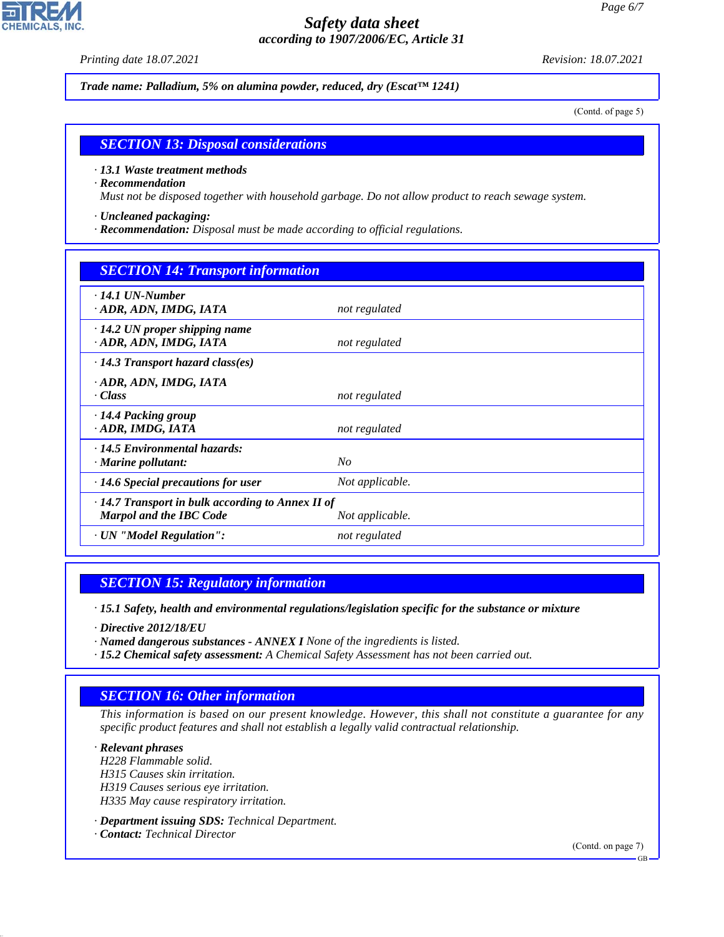*Printing date 18.07.2021 Revision: 18.07.2021*

**CHEMICALS, INC** 

*Trade name: Palladium, 5% on alumina powder, reduced, dry (Escat™ 1241)*

(Contd. of page 5)

# *SECTION 13: Disposal considerations*

#### *· 13.1 Waste treatment methods*

#### *· Recommendation*

*Must not be disposed together with household garbage. Do not allow product to reach sewage system.*

- *· Uncleaned packaging:*
- *· Recommendation: Disposal must be made according to official regulations.*

| <b>SECTION 14: Transport information</b>                                                                     |                 |  |  |  |
|--------------------------------------------------------------------------------------------------------------|-----------------|--|--|--|
| $\cdot$ 14.1 UN-Number<br>· ADR, ADN, IMDG, IATA                                                             | not regulated   |  |  |  |
| $\cdot$ 14.2 UN proper shipping name<br>· ADR, ADN, IMDG, IATA                                               | not regulated   |  |  |  |
| $\cdot$ 14.3 Transport hazard class(es)                                                                      |                 |  |  |  |
| · ADR, ADN, IMDG, IATA<br>· Class                                                                            | not regulated   |  |  |  |
| $\cdot$ 14.4 Packing group<br>· ADR, IMDG, IATA                                                              | not regulated   |  |  |  |
| $\cdot$ 14.5 Environmental hazards:<br>$\cdot$ Marine pollutant:                                             | N <sub>O</sub>  |  |  |  |
| $\cdot$ 14.6 Special precautions for user                                                                    | Not applicable. |  |  |  |
| $\cdot$ 14.7 Transport in bulk according to Annex II of<br><b>Marpol and the IBC Code</b><br>Not applicable. |                 |  |  |  |
| · UN "Model Regulation":                                                                                     | not regulated   |  |  |  |

## *SECTION 15: Regulatory information*

*· 15.1 Safety, health and environmental regulations/legislation specific for the substance or mixture*

*· Directive 2012/18/EU*

44.1.1

- *· Named dangerous substances ANNEX I None of the ingredients is listed.*
- *· 15.2 Chemical safety assessment: A Chemical Safety Assessment has not been carried out.*

# *SECTION 16: Other information*

*This information is based on our present knowledge. However, this shall not constitute a guarantee for any specific product features and shall not establish a legally valid contractual relationship.*

*· Relevant phrases H228 Flammable solid. H315 Causes skin irritation. H319 Causes serious eye irritation. H335 May cause respiratory irritation.*

*· Department issuing SDS: Technical Department. · Contact: Technical Director*

(Contd. on page 7)

GB